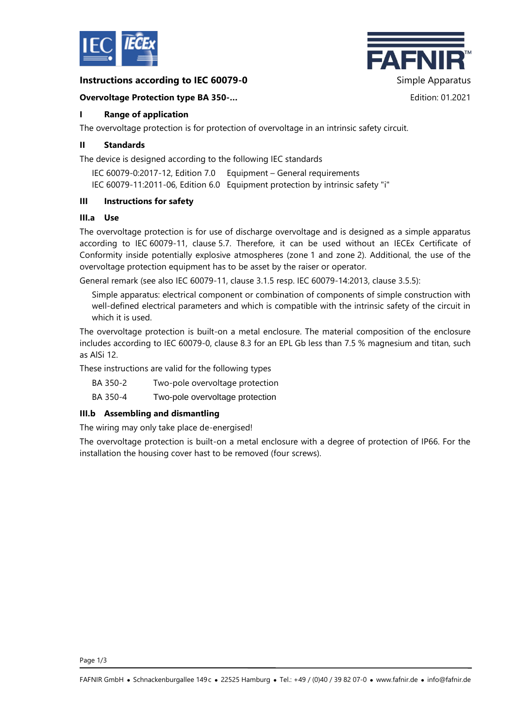

### **Instructions according to IEC 60079-0** Simple Apparatus



### **Overvoltage Protection type BA 350-…** Edition: 01.2021

# **I Range of application**

The overvoltage protection is for protection of overvoltage in an intrinsic safety circuit.

### **II Standards**

The device is designed according to the following IEC standards

IEC 60079-0:2017-12, Edition 7.0 Equipment – General requirements IEC 60079-11:2011-06, Edition 6.0 Equipment protection by intrinsic safety "i"

### **III Instructions for safety**

#### **III.a Use**

The overvoltage protection is for use of discharge overvoltage and is designed as a simple apparatus according to IEC 60079-11, clause 5.7. Therefore, it can be used without an IECEx Certificate of Conformity inside potentially explosive atmospheres (zone 1 and zone 2). Additional, the use of the overvoltage protection equipment has to be asset by the raiser or operator.

General remark (see also IEC 60079-11, clause 3.1.5 resp. IEC 60079-14:2013, clause 3.5.5):

Simple apparatus: electrical component or combination of components of simple construction with well-defined electrical parameters and which is compatible with the intrinsic safety of the circuit in which it is used.

The overvoltage protection is built-on a metal enclosure. The material composition of the enclosure includes according to IEC 60079-0, clause 8.3 for an EPL Gb less than 7.5 % magnesium and titan, such as AlSi 12.

These instructions are valid for the following types

BA 350-2 Two-pole overvoltage protection

BA 350-4 Two-pole overvoltage protection

# **III.b Assembling and dismantling**

The wiring may only take place de-energised!

The overvoltage protection is built-on a metal enclosure with a degree of protection of IP66. For the installation the housing cover hast to be removed (four screws).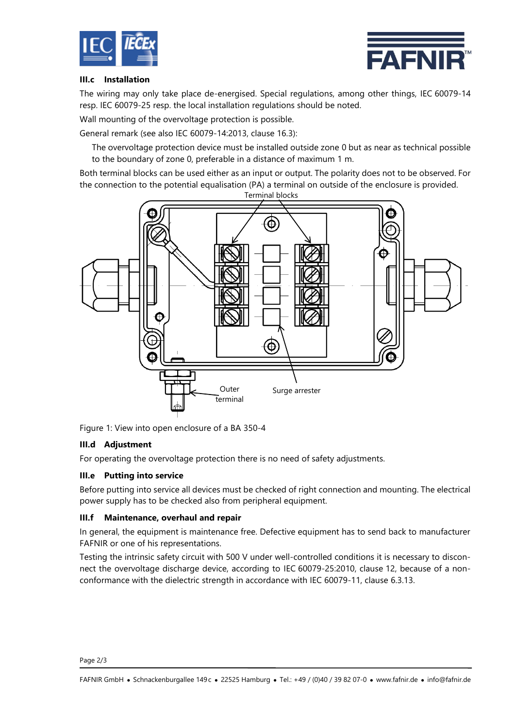



#### **III.c Installation**

The wiring may only take place de-energised. Special regulations, among other things, IEC 60079-14 resp. IEC 60079-25 resp. the local installation regulations should be noted.

Wall mounting of the overvoltage protection is possible.

General remark (see also IEC 60079-14:2013, clause 16.3):

The overvoltage protection device must be installed outside zone 0 but as near as technical possible to the boundary of zone 0, preferable in a distance of maximum 1 m.

Both terminal blocks can be used either as an input or output. The polarity does not to be observed. For the connection to the potential equalisation (PA) a terminal on outside of the enclosure is provided.



Figure 1: View into open enclosure of a BA 350-4

#### **III.d Adjustment**

For operating the overvoltage protection there is no need of safety adjustments.

#### **III.e Putting into service**

Before putting into service all devices must be checked of right connection and mounting. The electrical power supply has to be checked also from peripheral equipment.

#### **III.f Maintenance, overhaul and repair**

In general, the equipment is maintenance free. Defective equipment has to send back to manufacturer FAFNIR or one of his representations.

Testing the intrinsic safety circuit with 500 V under well-controlled conditions it is necessary to disconnect the overvoltage discharge device, according to IEC 60079-25:2010, clause 12, because of a nonconformance with the dielectric strength in accordance with IEC 60079-11, clause 6.3.13.